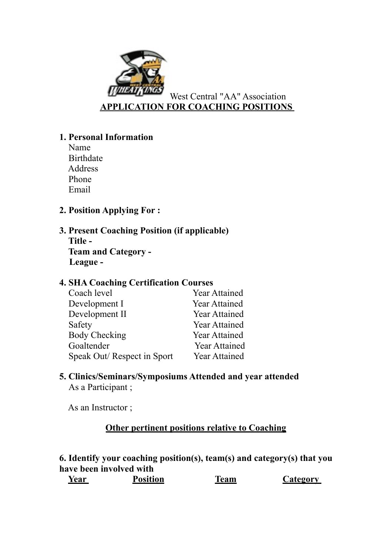

# **1. Personal Information**

Name Birthdate Address Phone Email

# **2. Position Applying For :**

**3. Present Coaching Position (if applicable) Title - Team and Category - League -** 

## **4. SHA Coaching Certification Courses**

| Coach level                | <b>Year Attained</b> |
|----------------------------|----------------------|
| Development I              | <b>Year Attained</b> |
| Development II             | <b>Year Attained</b> |
| Safety                     | <b>Year Attained</b> |
| <b>Body Checking</b>       | <b>Year Attained</b> |
| Goaltender                 | <b>Year Attained</b> |
| Speak Out/Respect in Sport | <b>Year Attained</b> |

## **5. Clinics/Seminars/Symposiums Attended and year attended** As a Participant ;

As an Instructor ;

## **Other pertinent positions relative to Coaching**

**6. Identify your coaching position(s), team(s) and category(s) that you have been involved with**

| Year | <b>Position</b> | Team | Category |
|------|-----------------|------|----------|
|------|-----------------|------|----------|